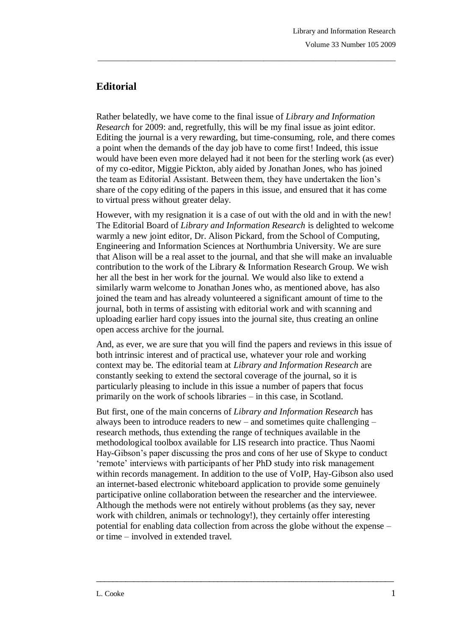## **Editorial**

Rather belatedly, we have come to the final issue of *Library and Information Research* for 2009: and, regretfully, this will be my final issue as joint editor. Editing the journal is a very rewarding, but time-consuming, role, and there comes a point when the demands of the day job have to come first! Indeed, this issue would have been even more delayed had it not been for the sterling work (as ever) of my co-editor, Miggie Pickton, ably aided by Jonathan Jones, who has joined the team as Editorial Assistant. Between them, they have undertaken the lion's share of the copy editing of the papers in this issue, and ensured that it has come to virtual press without greater delay.

\_\_\_\_\_\_\_\_\_\_\_\_\_\_\_\_\_\_\_\_\_\_\_\_\_\_\_\_\_\_\_\_\_\_\_\_\_\_\_\_\_\_\_\_\_\_\_\_\_\_\_\_\_\_\_\_\_\_\_\_\_\_\_\_\_\_\_\_\_\_\_\_\_\_\_\_\_\_\_

However, with my resignation it is a case of out with the old and in with the new! The Editorial Board of *Library and Information Research* is delighted to welcome warmly a new joint editor, Dr. Alison Pickard, from the School of Computing, Engineering and Information Sciences at Northumbria University. We are sure that Alison will be a real asset to the journal, and that she will make an invaluable contribution to the work of the Library & Information Research Group. We wish her all the best in her work for the journal. We would also like to extend a similarly warm welcome to Jonathan Jones who, as mentioned above, has also joined the team and has already volunteered a significant amount of time to the journal, both in terms of assisting with editorial work and with scanning and uploading earlier hard copy issues into the journal site, thus creating an online open access archive for the journal.

And, as ever, we are sure that you will find the papers and reviews in this issue of both intrinsic interest and of practical use, whatever your role and working context may be. The editorial team at *Library and Information Research* are constantly seeking to extend the sectoral coverage of the journal, so it is particularly pleasing to include in this issue a number of papers that focus primarily on the work of schools libraries – in this case, in Scotland.

But first, one of the main concerns of *Library and Information Research* has always been to introduce readers to new – and sometimes quite challenging – research methods, thus extending the range of techniques available in the methodological toolbox available for LIS research into practice. Thus Naomi Hay-Gibson's paper discussing the pros and cons of her use of Skype to conduct 'remote' interviews with participants of her PhD study into risk management within records management. In addition to the use of VoIP, Hay-Gibson also used an internet-based electronic whiteboard application to provide some genuinely participative online collaboration between the researcher and the interviewee. Although the methods were not entirely without problems (as they say, never work with children, animals or technology!), they certainly offer interesting potential for enabling data collection from across the globe without the expense – or time – involved in extended travel.

 $\frac{1}{2}$  ,  $\frac{1}{2}$  ,  $\frac{1}{2}$  ,  $\frac{1}{2}$  ,  $\frac{1}{2}$  ,  $\frac{1}{2}$  ,  $\frac{1}{2}$  ,  $\frac{1}{2}$  ,  $\frac{1}{2}$  ,  $\frac{1}{2}$  ,  $\frac{1}{2}$  ,  $\frac{1}{2}$  ,  $\frac{1}{2}$  ,  $\frac{1}{2}$  ,  $\frac{1}{2}$  ,  $\frac{1}{2}$  ,  $\frac{1}{2}$  ,  $\frac{1}{2}$  ,  $\frac{1$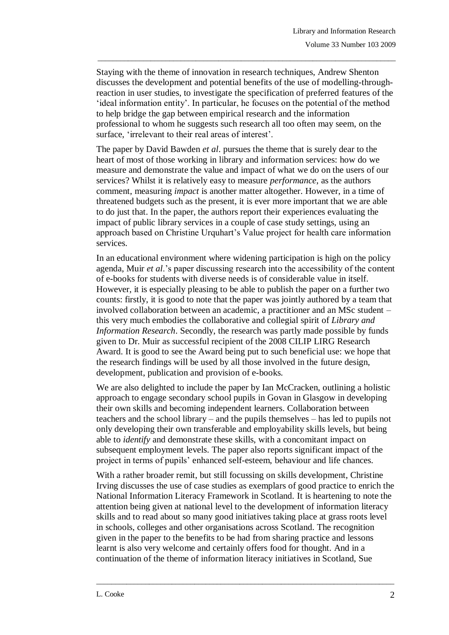Staying with the theme of innovation in research techniques, Andrew Shenton discusses the development and potential benefits of the use of modelling-throughreaction in user studies, to investigate the specification of preferred features of the 'ideal information entity'. In particular, he focuses on the potential of the method to help bridge the gap between empirical research and the information professional to whom he suggests such research all too often may seem, on the surface, 'irrelevant to their real areas of interest'.

\_\_\_\_\_\_\_\_\_\_\_\_\_\_\_\_\_\_\_\_\_\_\_\_\_\_\_\_\_\_\_\_\_\_\_\_\_\_\_\_\_\_\_\_\_\_\_\_\_\_\_\_\_\_\_\_\_\_\_\_\_\_\_\_\_\_\_\_\_\_\_\_\_\_\_\_\_\_\_

The paper by David Bawden *et al*. pursues the theme that is surely dear to the heart of most of those working in library and information services: how do we measure and demonstrate the value and impact of what we do on the users of our services? Whilst it is relatively easy to measure *performance*, as the authors comment, measuring *impact* is another matter altogether. However, in a time of threatened budgets such as the present, it is ever more important that we are able to do just that. In the paper, the authors report their experiences evaluating the impact of public library services in a couple of case study settings, using an approach based on Christine Urquhart's Value project for health care information services.

In an educational environment where widening participation is high on the policy agenda, Muir *et al*.'s paper discussing research into the accessibility of the content of e-books for students with diverse needs is of considerable value in itself. However, it is especially pleasing to be able to publish the paper on a further two counts: firstly, it is good to note that the paper was jointly authored by a team that involved collaboration between an academic, a practitioner and an MSc student – this very much embodies the collaborative and collegial spirit of *Library and Information Research*. Secondly, the research was partly made possible by funds given to Dr. Muir as successful recipient of the 2008 CILIP LIRG Research Award. It is good to see the Award being put to such beneficial use: we hope that the research findings will be used by all those involved in the future design, development, publication and provision of e-books.

We are also delighted to include the paper by Ian McCracken, outlining a holistic approach to engage secondary school pupils in Govan in Glasgow in developing their own skills and becoming independent learners. Collaboration between teachers and the school library – and the pupils themselves – has led to pupils not only developing their own transferable and employability skills levels, but being able to *identify* and demonstrate these skills, with a concomitant impact on subsequent employment levels. The paper also reports significant impact of the project in terms of pupils' enhanced self-esteem, behaviour and life chances.

With a rather broader remit, but still focussing on skills development, Christine Irving discusses the use of case studies as exemplars of good practice to enrich the National Information Literacy Framework in Scotland. It is heartening to note the attention being given at national level to the development of information literacy skills and to read about so many good initiatives taking place at grass roots level in schools, colleges and other organisations across Scotland. The recognition given in the paper to the benefits to be had from sharing practice and lessons learnt is also very welcome and certainly offers food for thought. And in a continuation of the theme of information literacy initiatives in Scotland, Sue

\_\_\_\_\_\_\_\_\_\_\_\_\_\_\_\_\_\_\_\_\_\_\_\_\_\_\_\_\_\_\_\_\_\_\_\_\_\_\_\_\_\_\_\_\_\_\_\_\_\_\_\_\_\_\_\_\_\_\_\_\_\_\_\_\_\_\_\_\_\_\_\_\_\_\_\_\_\_\_